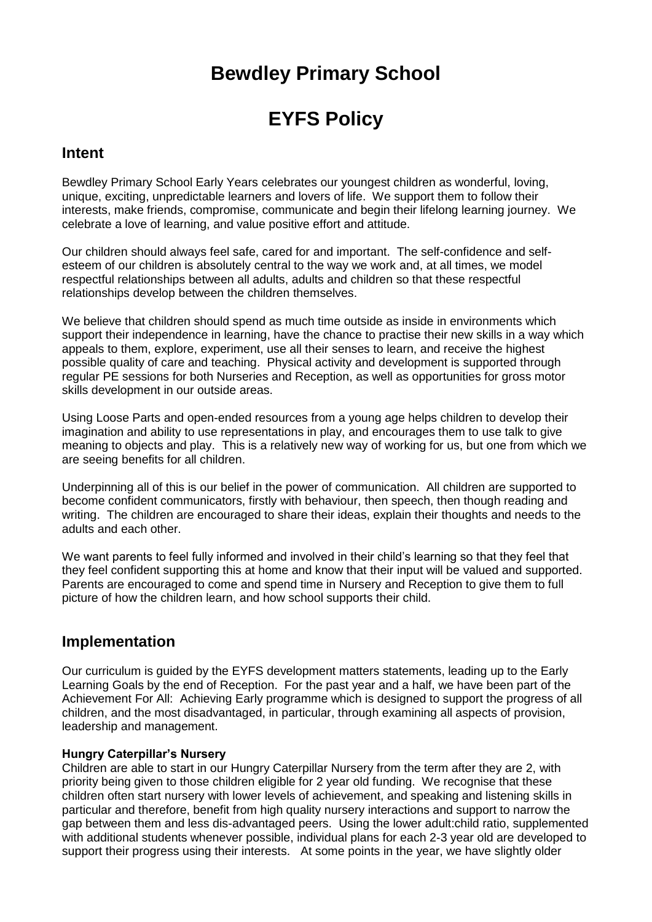## **Bewdley Primary School**

# **EYFS Policy**

### **Intent**

Bewdley Primary School Early Years celebrates our youngest children as wonderful, loving, unique, exciting, unpredictable learners and lovers of life. We support them to follow their interests, make friends, compromise, communicate and begin their lifelong learning journey. We celebrate a love of learning, and value positive effort and attitude.

Our children should always feel safe, cared for and important. The self-confidence and selfesteem of our children is absolutely central to the way we work and, at all times, we model respectful relationships between all adults, adults and children so that these respectful relationships develop between the children themselves.

We believe that children should spend as much time outside as inside in environments which support their independence in learning, have the chance to practise their new skills in a way which appeals to them, explore, experiment, use all their senses to learn, and receive the highest possible quality of care and teaching. Physical activity and development is supported through regular PE sessions for both Nurseries and Reception, as well as opportunities for gross motor skills development in our outside areas.

Using Loose Parts and open-ended resources from a young age helps children to develop their imagination and ability to use representations in play, and encourages them to use talk to give meaning to objects and play. This is a relatively new way of working for us, but one from which we are seeing benefits for all children.

Underpinning all of this is our belief in the power of communication. All children are supported to become confident communicators, firstly with behaviour, then speech, then though reading and writing. The children are encouraged to share their ideas, explain their thoughts and needs to the adults and each other.

We want parents to feel fully informed and involved in their child's learning so that they feel that they feel confident supporting this at home and know that their input will be valued and supported. Parents are encouraged to come and spend time in Nursery and Reception to give them to full picture of how the children learn, and how school supports their child.

## **Implementation**

Our curriculum is guided by the EYFS development matters statements, leading up to the Early Learning Goals by the end of Reception. For the past year and a half, we have been part of the Achievement For All: Achieving Early programme which is designed to support the progress of all children, and the most disadvantaged, in particular, through examining all aspects of provision, leadership and management.

#### **Hungry Caterpillar's Nursery**

Children are able to start in our Hungry Caterpillar Nursery from the term after they are 2, with priority being given to those children eligible for 2 year old funding. We recognise that these children often start nursery with lower levels of achievement, and speaking and listening skills in particular and therefore, benefit from high quality nursery interactions and support to narrow the gap between them and less dis-advantaged peers. Using the lower adult:child ratio, supplemented with additional students whenever possible, individual plans for each 2-3 year old are developed to support their progress using their interests. At some points in the year, we have slightly older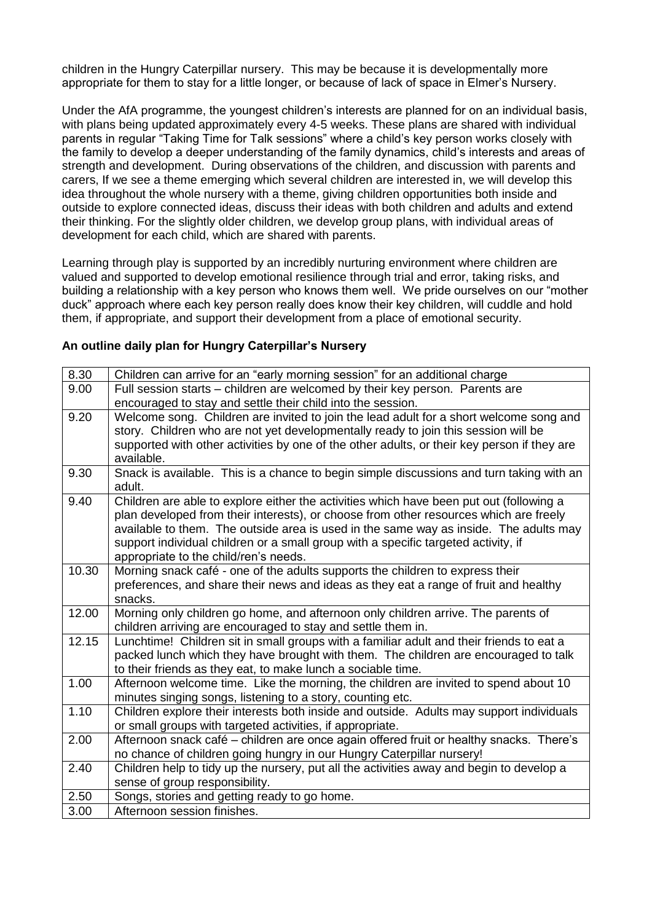children in the Hungry Caterpillar nursery. This may be because it is developmentally more appropriate for them to stay for a little longer, or because of lack of space in Elmer's Nursery.

Under the AfA programme, the youngest children's interests are planned for on an individual basis, with plans being updated approximately every 4-5 weeks. These plans are shared with individual parents in regular "Taking Time for Talk sessions" where a child's key person works closely with the family to develop a deeper understanding of the family dynamics, child's interests and areas of strength and development. During observations of the children, and discussion with parents and carers, If we see a theme emerging which several children are interested in, we will develop this idea throughout the whole nursery with a theme, giving children opportunities both inside and outside to explore connected ideas, discuss their ideas with both children and adults and extend their thinking. For the slightly older children, we develop group plans, with individual areas of development for each child, which are shared with parents.

Learning through play is supported by an incredibly nurturing environment where children are valued and supported to develop emotional resilience through trial and error, taking risks, and building a relationship with a key person who knows them well. We pride ourselves on our "mother duck" approach where each key person really does know their key children, will cuddle and hold them, if appropriate, and support their development from a place of emotional security.

#### **An outline daily plan for Hungry Caterpillar's Nursery**

| 8.30  | Children can arrive for an "early morning session" for an additional charge                                                                                                                                                                                                                                                                                                                              |
|-------|----------------------------------------------------------------------------------------------------------------------------------------------------------------------------------------------------------------------------------------------------------------------------------------------------------------------------------------------------------------------------------------------------------|
| 9.00  | Full session starts – children are welcomed by their key person. Parents are                                                                                                                                                                                                                                                                                                                             |
|       | encouraged to stay and settle their child into the session.                                                                                                                                                                                                                                                                                                                                              |
| 9.20  | Welcome song. Children are invited to join the lead adult for a short welcome song and<br>story. Children who are not yet developmentally ready to join this session will be<br>supported with other activities by one of the other adults, or their key person if they are<br>available.                                                                                                                |
| 9.30  | Snack is available. This is a chance to begin simple discussions and turn taking with an<br>adult.                                                                                                                                                                                                                                                                                                       |
| 9.40  | Children are able to explore either the activities which have been put out (following a<br>plan developed from their interests), or choose from other resources which are freely<br>available to them. The outside area is used in the same way as inside. The adults may<br>support individual children or a small group with a specific targeted activity, if<br>appropriate to the child/ren's needs. |
| 10.30 | Morning snack café - one of the adults supports the children to express their<br>preferences, and share their news and ideas as they eat a range of fruit and healthy<br>snacks.                                                                                                                                                                                                                         |
| 12.00 | Morning only children go home, and afternoon only children arrive. The parents of<br>children arriving are encouraged to stay and settle them in.                                                                                                                                                                                                                                                        |
| 12.15 | Lunchtime! Children sit in small groups with a familiar adult and their friends to eat a<br>packed lunch which they have brought with them. The children are encouraged to talk<br>to their friends as they eat, to make lunch a sociable time.                                                                                                                                                          |
| 1.00  | Afternoon welcome time. Like the morning, the children are invited to spend about 10<br>minutes singing songs, listening to a story, counting etc.                                                                                                                                                                                                                                                       |
| 1.10  | Children explore their interests both inside and outside. Adults may support individuals<br>or small groups with targeted activities, if appropriate.                                                                                                                                                                                                                                                    |
| 2.00  | Afternoon snack café - children are once again offered fruit or healthy snacks. There's<br>no chance of children going hungry in our Hungry Caterpillar nursery!                                                                                                                                                                                                                                         |
| 2.40  | Children help to tidy up the nursery, put all the activities away and begin to develop a<br>sense of group responsibility.                                                                                                                                                                                                                                                                               |
| 2.50  | Songs, stories and getting ready to go home.                                                                                                                                                                                                                                                                                                                                                             |
| 3.00  | Afternoon session finishes.                                                                                                                                                                                                                                                                                                                                                                              |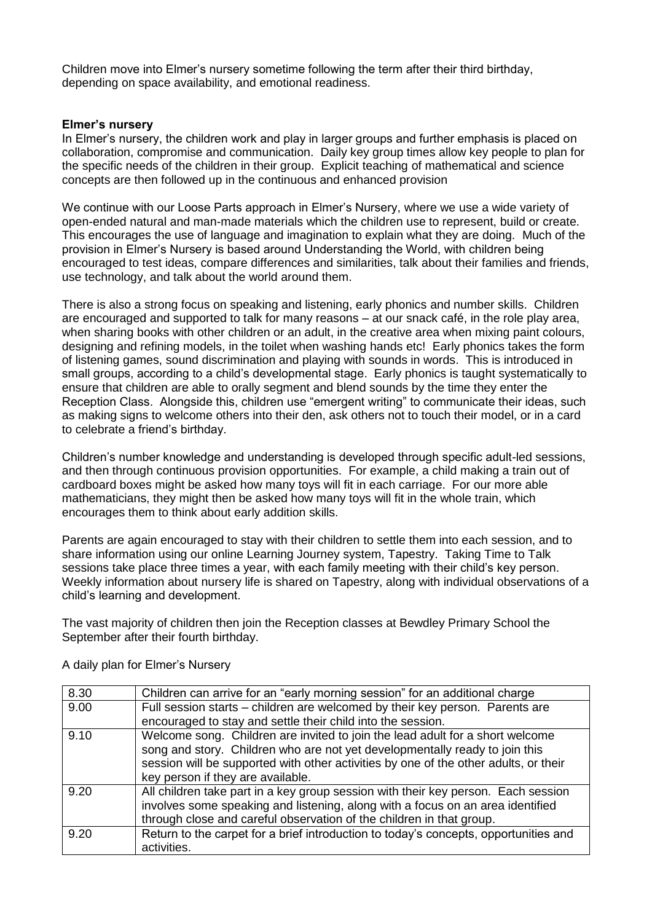Children move into Elmer's nursery sometime following the term after their third birthday, depending on space availability, and emotional readiness.

#### **Elmer's nursery**

In Elmer's nursery, the children work and play in larger groups and further emphasis is placed on collaboration, compromise and communication. Daily key group times allow key people to plan for the specific needs of the children in their group. Explicit teaching of mathematical and science concepts are then followed up in the continuous and enhanced provision

We continue with our Loose Parts approach in Elmer's Nursery, where we use a wide variety of open-ended natural and man-made materials which the children use to represent, build or create. This encourages the use of language and imagination to explain what they are doing. Much of the provision in Elmer's Nursery is based around Understanding the World, with children being encouraged to test ideas, compare differences and similarities, talk about their families and friends, use technology, and talk about the world around them.

There is also a strong focus on speaking and listening, early phonics and number skills. Children are encouraged and supported to talk for many reasons – at our snack café, in the role play area, when sharing books with other children or an adult, in the creative area when mixing paint colours, designing and refining models, in the toilet when washing hands etc! Early phonics takes the form of listening games, sound discrimination and playing with sounds in words. This is introduced in small groups, according to a child's developmental stage. Early phonics is taught systematically to ensure that children are able to orally segment and blend sounds by the time they enter the Reception Class. Alongside this, children use "emergent writing" to communicate their ideas, such as making signs to welcome others into their den, ask others not to touch their model, or in a card to celebrate a friend's birthday.

Children's number knowledge and understanding is developed through specific adult-led sessions, and then through continuous provision opportunities. For example, a child making a train out of cardboard boxes might be asked how many toys will fit in each carriage. For our more able mathematicians, they might then be asked how many toys will fit in the whole train, which encourages them to think about early addition skills.

Parents are again encouraged to stay with their children to settle them into each session, and to share information using our online Learning Journey system, Tapestry. Taking Time to Talk sessions take place three times a year, with each family meeting with their child's key person. Weekly information about nursery life is shared on Tapestry, along with individual observations of a child's learning and development.

The vast majority of children then join the Reception classes at Bewdley Primary School the September after their fourth birthday.

| 8.30 | Children can arrive for an "early morning session" for an additional charge          |
|------|--------------------------------------------------------------------------------------|
| 9.00 | Full session starts – children are welcomed by their key person. Parents are         |
|      | encouraged to stay and settle their child into the session.                          |
| 9.10 | Welcome song. Children are invited to join the lead adult for a short welcome        |
|      | song and story. Children who are not yet developmentally ready to join this          |
|      | session will be supported with other activities by one of the other adults, or their |
|      | key person if they are available.                                                    |
| 9.20 | All children take part in a key group session with their key person. Each session    |
|      | involves some speaking and listening, along with a focus on an area identified       |
|      | through close and careful observation of the children in that group.                 |
| 9.20 | Return to the carpet for a brief introduction to today's concepts, opportunities and |
|      | activities.                                                                          |

A daily plan for Elmer's Nursery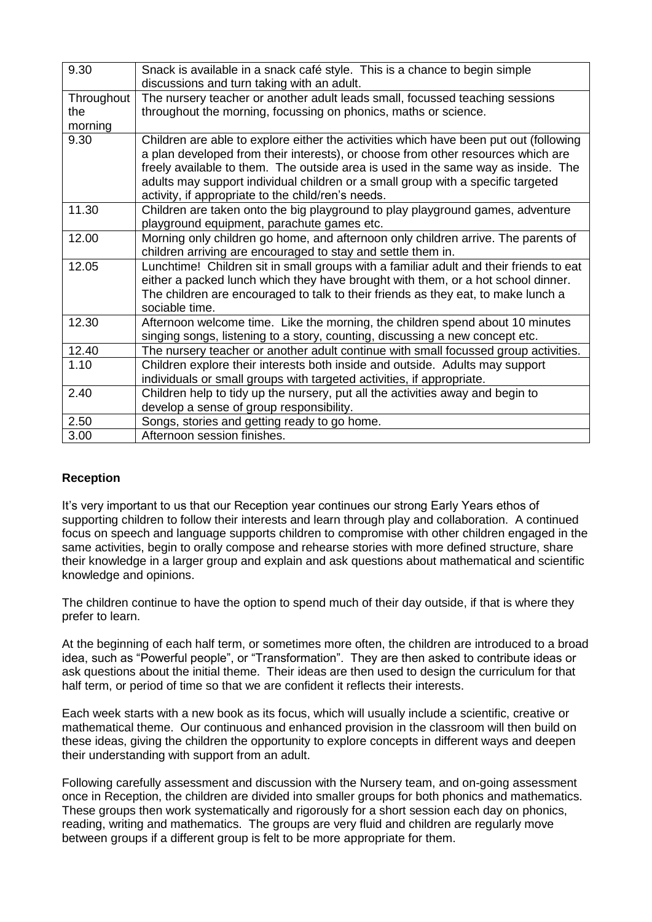| 9.30       | Snack is available in a snack café style. This is a chance to begin simple<br>discussions and turn taking with an adult.                                                                                                                                                                                                                           |
|------------|----------------------------------------------------------------------------------------------------------------------------------------------------------------------------------------------------------------------------------------------------------------------------------------------------------------------------------------------------|
| Throughout | The nursery teacher or another adult leads small, focussed teaching sessions                                                                                                                                                                                                                                                                       |
| the        | throughout the morning, focussing on phonics, maths or science.                                                                                                                                                                                                                                                                                    |
| morning    |                                                                                                                                                                                                                                                                                                                                                    |
| 9.30       | Children are able to explore either the activities which have been put out (following<br>a plan developed from their interests), or choose from other resources which are<br>freely available to them. The outside area is used in the same way as inside. The<br>adults may support individual children or a small group with a specific targeted |
|            | activity, if appropriate to the child/ren's needs.                                                                                                                                                                                                                                                                                                 |
| 11.30      | Children are taken onto the big playground to play playground games, adventure<br>playground equipment, parachute games etc.                                                                                                                                                                                                                       |
| 12.00      | Morning only children go home, and afternoon only children arrive. The parents of<br>children arriving are encouraged to stay and settle them in.                                                                                                                                                                                                  |
| 12.05      | Lunchtime! Children sit in small groups with a familiar adult and their friends to eat<br>either a packed lunch which they have brought with them, or a hot school dinner.<br>The children are encouraged to talk to their friends as they eat, to make lunch a<br>sociable time.                                                                  |
| 12.30      | Afternoon welcome time. Like the morning, the children spend about 10 minutes<br>singing songs, listening to a story, counting, discussing a new concept etc.                                                                                                                                                                                      |
| 12.40      | The nursery teacher or another adult continue with small focussed group activities.                                                                                                                                                                                                                                                                |
| 1.10       | Children explore their interests both inside and outside. Adults may support<br>individuals or small groups with targeted activities, if appropriate.                                                                                                                                                                                              |
| 2.40       | Children help to tidy up the nursery, put all the activities away and begin to                                                                                                                                                                                                                                                                     |
|            | develop a sense of group responsibility.                                                                                                                                                                                                                                                                                                           |
| 2.50       | Songs, stories and getting ready to go home.                                                                                                                                                                                                                                                                                                       |
| 3.00       | Afternoon session finishes.                                                                                                                                                                                                                                                                                                                        |

#### **Reception**

It's very important to us that our Reception year continues our strong Early Years ethos of supporting children to follow their interests and learn through play and collaboration. A continued focus on speech and language supports children to compromise with other children engaged in the same activities, begin to orally compose and rehearse stories with more defined structure, share their knowledge in a larger group and explain and ask questions about mathematical and scientific knowledge and opinions.

The children continue to have the option to spend much of their day outside, if that is where they prefer to learn.

At the beginning of each half term, or sometimes more often, the children are introduced to a broad idea, such as "Powerful people", or "Transformation". They are then asked to contribute ideas or ask questions about the initial theme. Their ideas are then used to design the curriculum for that half term, or period of time so that we are confident it reflects their interests.

Each week starts with a new book as its focus, which will usually include a scientific, creative or mathematical theme. Our continuous and enhanced provision in the classroom will then build on these ideas, giving the children the opportunity to explore concepts in different ways and deepen their understanding with support from an adult.

Following carefully assessment and discussion with the Nursery team, and on-going assessment once in Reception, the children are divided into smaller groups for both phonics and mathematics. These groups then work systematically and rigorously for a short session each day on phonics, reading, writing and mathematics. The groups are very fluid and children are regularly move between groups if a different group is felt to be more appropriate for them.